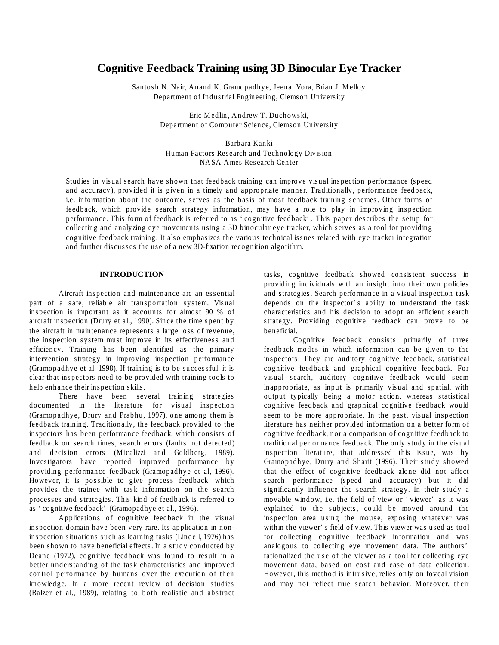# **Cognitive Feedback Training using 3D Binocular Eye Tracker**

Santosh N. Nair, Anand K. Gramopadhye, Jeenal Vora, Brian J. Melloy Department of Industrial Engineering, Clemson University

> Eric Medlin, Andrew T. Duchowski, Department of Computer Science, Clemson University

Barbara Kanki Human Factors Research and Technology Division NASA Ames Research Center

Studies in visual search have shown that feedback training can improve visual inspection performance (speed and accuracy), provided it is given in a timely and appropriate manner. Traditionally, performance feedback, i.e. information about the outcome, serves as the basis of most feedback training schemes. Other forms of feedback, which provide search strategy information, may have a role to play in improving inspection performance. This form of feedback is referred to as 'cognitive feedback'. This paper describes the setup for collecting and analyzing eye movements using a 3D binocular eye tracker, which serves as a tool for providing cognitive feedback training. It also emphasizes the various technical issues related with eye tracker integration and further discusses the use of a new 3D-fixation recognition algorithm.

## **INTRODUCTION**

Aircraft inspection and maintenance are an essential part of a safe, reliable air transportation system. Visual inspection is important as it accounts for almost 90 % of aircraft inspection (Drury et al., 1990). Since the time spent by the aircraft in maintenance represents a large loss of revenue, the inspection system must improve in its effectiveness and efficiency. Training has been identified as the primary intervention strategy in improving inspection performance (Gramopadhye et al, 1998). If training is to be successful, it is clear that inspectors need to be provided with training tools to help enhance their inspection skills.

There have been several training strategies documented in the literature for visual inspection (Gramopadhye, Drury and Prabhu, 1997), one among them is feedback training. Traditionally, the feedback provided to the inspectors has been performance feedback, which consists of feedback on search times, search errors (faults not detected) and decision errors (Micalizzi and Goldberg, 1989). Investigators have reported improved performance by providing performance feedback (Gramopadhye et al, 1996). However, it is possible to give process feedback, which provides the trainee with task information on the search processes and strategies. This kind of feedback is referred to as 'cognitive feedback' (Gramopadhye et al., 1996).

Applications of cognitive feedback in the visual inspection domain have been very rare. Its application in noninspection situations such as learning tasks (Lindell, 1976) has been shown to have beneficial effects. In a study conducted by Deane (1972), cognitive feedback was found to result in a better understanding of the task characteristics and improved control performance by humans over the execution of their knowledge. In a more recent review of decision studies (Balzer et al., 1989), relating to both realistic and abstract

tasks, cognitive feedback showed consistent success in providing individuals with an insight into their own policies and strategies. Search performance in a visual inspection task depends on the inspector's ability to understand the task characteristics and his decision to adopt an efficient search strategy. Providing cognitive feedback can prove to be beneficial.

Cognitive feedback consists primarily of three feedback modes in which information can be given to the inspectors. They are auditory cognitive feedback, statistical cognitive feedback and graphical cognitive feedback. For visual search, auditory cognitive feedback would seem inappropriate, as input is primarily visual and spatial, with output typically being a motor action, whereas statistical cognitive feedback and graphical cognitive feedback would seem to be more appropriate. In the past, visual inspection literature has neither provided information on a better form of cognitive feedback, nor a comparison of cognitive feedback to traditional performance feedback. The only study in the visual inspection literature, that addressed this issue, was by Gramopadhye, Drury and Sharit (1996). Their study showed that the effect of cognitive feedback alone did not affect search performance (speed and accuracy) but it did significantly influence the search strategy. In their study a movable window, i.e. the field of view or 'viewer' as it was explained to the subjects, could be moved around the inspection area using the mouse, exposing whatever was within the viewer's field of view. This viewer was used as tool for collecting cognitive feedback information and was analogous to collecting eye movement data. The authors' rationalized the use of the viewer as a tool for collecting eye movement data, based on cost and ease of data collection. However, this method is intrusive, relies only on foveal vision and may not reflect true search behavior. Moreover, their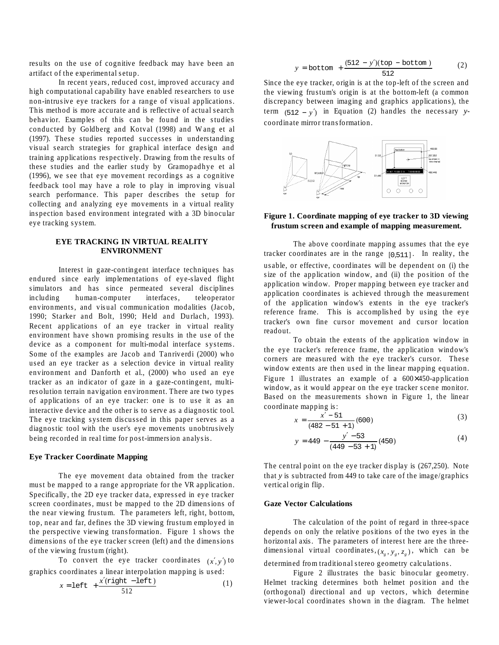results on the use of cognitive feedback may have been an artifact of the experimental setup.

In recent years, reduced cost, improved accuracy and high computational capability have enabled researchers to use non-intrusive eye trackers for a range of visual applications. This method is more accurate and is reflective of actual search behavior. Examples of this can be found in the studies conducted by Goldberg and Kotval (1998) and Wang et al (1997). These studies reported successes in understanding visual search strategies for graphical interface design and training applications respectively. Drawing from the results of these studies and the earlier study by Gramopadhye et al (1996), we see that eye movement recordings as a cognitive feedback tool may have a role to play in improving visual search performance. This paper describes the setup for collecting and analyzing eye movements in a virtual reality inspection based environment integrated with a 3D binocular eye tracking system.

# **EYE TRACKING IN VIRTUAL REALITY ENVIRONMENT**

Interest in gaze-contingent interface techniques has endured since early implementations of eye-slaved flight simulators and has since permeated several disciplines including human-computer interfaces, teleoperator environments, and visual communication modalities (Jacob, 1990; Starker and Bolt, 1990; Held and Durlach, 1993). Recent applications of an eye tracker in virtual reality environment have shown promising results in the use of the device as a component for multi-modal interface systems. Some of the examples are Jacob and Tanriverdi (2000) who used an eye tracker as a selection device in virtual reality environment and Danforth et al., (2000) who used an eye tracker as an indicator of gaze in a gaze-contingent, multiresolution terrain navigation environment. There are two types of applications of an eye tracker: one is to use it as an interactive device and the other is to serve as a diagnostic tool. The eye tracking system discussed in this paper serves as a diagnostic tool with the user's eye movements unobtrusively being recorded in real time for post-immersion analysis.

## **Eye Tracker Coordinate Mapping**

The eye movement data obtained from the tracker must be mapped to a range appropriate for the VR application. Specifically, the 2D eye tracker data, expressed in eye tracker screen coordinates, must be mapped to the 2D dimensions of the near viewing frustum. The parameters left, right, bottom, top, near and far, defines the 3D viewing frustum employed in the perspective viewing transformation. Figure 1 shows the dimensions of the eye tracker screen (left) and the dimensions of the viewing frustum (right).

To convert the eye tracker coordinates  $(x', y')$  to graphics coordinates a linear interpolation mapping is used:

$$
x = \text{left} + \frac{x'(\text{right} - \text{left})}{512} \tag{1}
$$

$$
y = \text{bottom} + \frac{(512 - y')(\text{top} - \text{bottom})}{512} \tag{2}
$$

Since the eye tracker, origin is at the top-left of the screen and the viewing frustum's origin is at the bottom-left (a common discrepancy between imaging and graphics applications), the term  $(512 - y')$  in Equation (2) handles the necessary *y*coordinate mirror transformation.



# **Figure 1. Coordinate mapping of eye tracker to 3D viewing frustum screen and example of mapping measurement.**

The above coordinate mapping assumes that the eye tracker coordinates are in the range [0,511] . In reality, the usable, or effective, coordinates will be dependent on (i) the size of the application window, and (ii) the position of the application window. Proper mapping between eye tracker and application coordinates is achieved through the measurement of the application window's extents in the eye tracker's reference frame. This is accomplished by using the eye tracker's own fine cursor movement and cursor location readout.

To obtain the extents of the application window in the eye tracker's reference frame, the application window's corners are measured with the eye tracker's cursor. These window extents are then used in the linear mapping equation. Figure 1 illustrates an example of a 600×450-application window, as it would appear on the eye tracker scene monitor. Based on the measurements shown in Figure 1, the linear coordinate mapping is:

$$
x = \frac{x^2 - 51}{(482 - 51 + 1)}(600)
$$
 (3)

$$
y = 449 - \frac{y' - 53}{(449 - 53 + 1)}(450)
$$
 (4)

The central point on the eye tracker display is (267,250). Note that *y* is subtracted from 449 to take care of the image/graphics vertical origin flip.

## **Gaze Vector Calculations**

The calculation of the point of regard in three-space depends on only the relative positions of the two eyes in the horizontal axis. The parameters of interest here are the threedimensional virtual coordinates,  $(x_g, y_g, z_g)$ , which can be

determined from traditional stereo geometry calculations.

Figure 2 illustrates the basic binocular geometry. Helmet tracking determines both helmet position and the (orthogonal) directional and up vectors, which determine viewer-local coordinates shown in the diagram. The helmet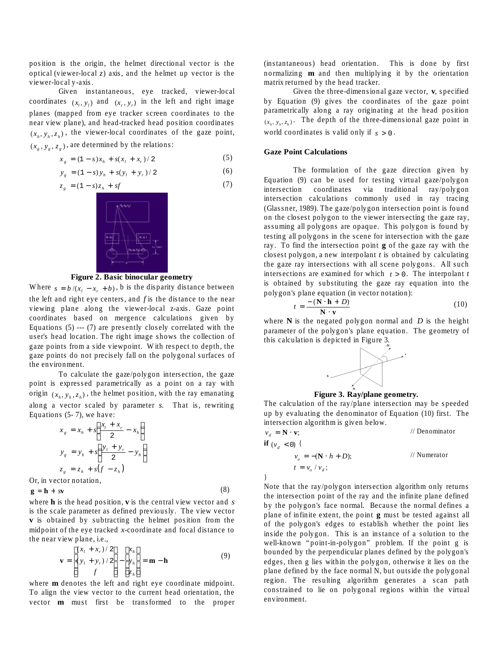position is the origin, the helmet directional vector is the optical (viewer-local  $z$ ) axis, and the helmet up vector is the viewer-local y-axis.

Given instantaneous, eye tracked, viewer-local coordinates  $(x_i, y_i)$  and  $(x_i, y_j)$  in the left and right image planes (mapped from eye tracker screen coordinates to the near view plane), and head-tracked head position coordinates  $(x_h, y_h, z_h)$ , the viewer-local coordinates of the gaze point,  $(x_g, y_g, z_g)$ , are determined by the relations:

$$
x_g = (1 - s)x_h + s(x_l + x_r)/2
$$
 (5)

$$
y_g = (1 - s)y_h + s(y_l + y_r)/2
$$
 (6)

$$
z_g = (1 - s)z_h + sf \tag{7}
$$



**Figure 2. Basic binocular geometry**

Where  $s = b/(x_1 - x_2 + b)$ , b is the disparity distance between the left and right eye centers, and *f* is the distance to the near viewing plane along the viewer-local z-axis. Gaze point coordinates based on mergence calculations given by Equations  $(5)$  --- $(7)$  are presently closely correlated with the user's head location. The right image shows the collection of gaze points from a side viewpoint. With respect to depth, the gaze points do not precisely fall on the polygonal surfaces of the environment.

To calculate the gaze/polygon intersection, the gaze point is expressed parametrically as a point on a ray with origin  $(x_h, y_h, z_h)$ , the helmet position, with the ray emanating along a vector scaled by parameter *s*. That is, rewriting Equations (5- 7), we have:

$$
x_g = x_h + s \left( \frac{x_l + x_r}{2} - x_h \right)
$$
  

$$
y_g = y_h + s \left( \frac{y_l + y_r}{2} - y_h \right)
$$
  

$$
z_g = z_h + s(f - z_h)
$$

Or, in vector notation,

 $g = h + s\mathbf{v}$  (8)

where **h** is the head position, **v** is the central view vector and *s* is the scale parameter as defined previously. The view vector **v** is obtained by subtracting the helmet position from the midpoint of the eye tracked *x*-coordinate and focal distance to the near view plane, i.e.,

$$
\mathbf{v} = \begin{bmatrix} (x_l + x_r)/2 \\ (y_l + y_r)/2 \\ f \end{bmatrix} - \begin{bmatrix} x_h \\ y_h \\ z_h \end{bmatrix} = \mathbf{m} - \mathbf{h}
$$
 (9)

where **m** denotes the left and right eye coordinate midpoint. To align the view vector to the current head orientation, the vector **m** must first be transformed to the proper

(instantaneous) head orientation. This is done by first normalizing **m** and then multiplying it by the orientation matrix returned by the head tracker.

Given the three-dimensional gaze vector, **v**, specified by Equation (9) gives the coordinates of the gaze point parametrically along a ray originating at the head position  $(x_h, y_h, z_h)$ . The depth of the three-dimensional gaze point in world coordinates is valid only if *s* > 0 .

### **Gaze Point Calculations**

The formulation of the gaze direction given by Equation (9) can be used for testing virtual gaze/polygon intersection coordinates via traditional ray/polygon intersection calculations commonly used in ray tracing (Glassner, 1989). The gaze/polygon intersection point is found on the closest polygon to the viewer intersecting the gaze ray, assuming all polygons are opaque. This polygon is found by testing all polygons in the scene for intersection with the gaze ray. To find the intersection point **g** of the gaze ray with the closest polygon, a new interpolant *t* is obtained by calculating the gaze ray intersections with all scene polygons. All such intersections are examined for which  $t > 0$ . The interpolant  $t$ is obtained by substituting the gaze ray equation into the polygon's plane equation (in vector notation):

$$
t = \frac{- (\mathbf{N} \cdot \mathbf{h} + D)}{\mathbf{N} \cdot \mathbf{v}}
$$
 (10)

where  $N$  is the negated polygon normal and  $D$  is the height parameter of the polygon's plane equation. The geometry of this calculation is depicted in Figure 3.



# **Figure 3. Ray/plane geometry.**

The calculation of the ray/plane intersection may be speeded up by evaluating the denominator of Equation (10) first. The intersection algorithm is given below.

$$
v_d = \mathbf{N} \cdot \mathbf{v}; \qquad \qquad \text{// Denominator}
$$
\n
$$
\text{if } (v_d < 0) \{ \qquad \qquad v_o = -(\mathbf{N} \cdot h + D); \qquad \qquad \text{// Numerator}
$$
\n
$$
t = v_o / v_d;
$$

Note that the ray/polygon intersection algorithm only returns the intersection point of the ray and the infinite plane defined by the polygon's face normal. Because the normal defines a plane of infinite extent, the point **g** must be tested against all of the polygon's edges to establish whether the point lies inside the polygon. This is an instance of a solution to the well-known "point-in-polygon" problem. If the point g is bounded by the perpendicular planes defined by the polygon's edges, then g lies within the polygon, otherwise it lies on the plane defined by the face normal N, but outside the polygonal region. The resulting algorithm generates a scan path constrained to lie on polygonal regions within the virtual environment.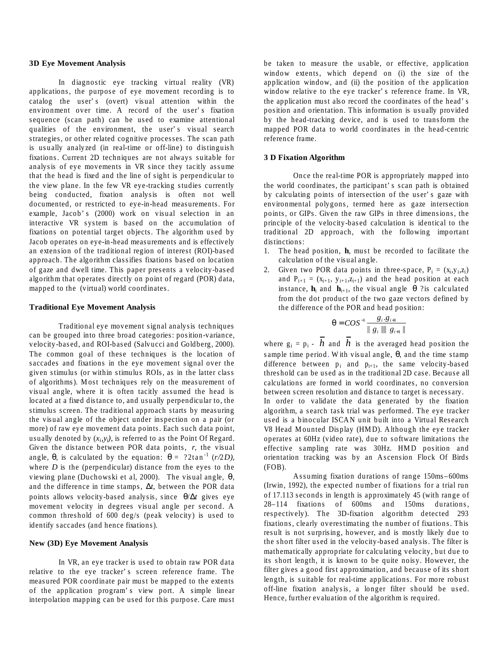#### **3D Eye Movement Analysis**

In diagnostic eye tracking virtual reality (VR) applications, the purpose of eye movement recording is to catalog the user's (overt) visual attention within the environment over time. A record of the user's fixation sequence (scan path) can be used to examine attentional qualities of the environment, the user's visual search strategies, or other related cognitive processes. The scan path is usually analyzed (in real-time or off-line) to distinguish fixations. Current 2D techniques are not always suitable for analysis of eye movements in VR since they tacitly assume that the head is fixed and the line of sight is perpendicular to the view plane. In the few VR eye-tracking studies currently being conducted, fixation analysis is often not well documented, or restricted to eye-in-head measurements. For example, Jacob's (2000) work on visual selection in an interactive VR system is based on the accumulation of fixations on potential target objects. The algorithm used by Jacob operates on eye-in-head measurements and is effectively an extension of the traditional region of interest (ROI)-based approach. The algorithm classifies fixations based on location of gaze and dwell time. This paper presents a velocity-based algorithm that operates directly on point of regard (POR) data, mapped to the (virtual) world coordinates.

#### **Traditional Eye Movement Analysis**

Traditional eye movement signal analysis techniques can be grouped into three broad categories: position-variance, velocity-based, and ROI-based (Salvucci and Goldberg, 2000). The common goal of these techniques is the location of saccades and fixations in the eye movement signal over the given stimulus (or within stimulus ROIs, as in the latter class of algorithms). Most techniques rely on the measurement of visual angle, where it is often tacitly assumed the head is located at a fixed distance to, and usually perpendicular to, the stimulus screen. The traditional approach starts by measuring the visual angle of the object under inspection on a pair (or more) of raw eye movement data points. Each such data point, usually denoted by  $(x_i, y_i)$ , is referred to as the Point Of Regard. Given the distance between POR data points, *r*, the visual angle,  $\theta$ , is calculated by the equation:  $\theta = ?2\tan^{-1}(r/2D)$ , where *D* is the (perpendicular) distance from the eyes to the viewing plane (Duchowski et al, 2000). The visual angle,  $θ$ , and the difference in time stamps, Δ*t,* between the POR data points allows velocity-based analysis, since θ/Δ*t* gives eye movement velocity in degrees visual angle per second. A common threshold of 600 deg/s (peak velocity) is used to identify saccades (and hence fixations).

#### **New (3D) Eye Movement Analysis**

In VR, an eye tracker is used to obtain raw POR data relative to the eye tracker's screen reference frame. The measured POR coordinate pair must be mapped to the extents of the application program's view port. A simple linear interpolation mapping can be used for this purpose. Care must be taken to measure the usable, or effective, application window extents, which depend on (i) the size of the application window, and (ii) the position of the application window relative to the eye tracker's reference frame. In VR, the application must also record the coordinates of the head's position and orientation. This information is usually provided by the head-tracking device, and is used to transform the mapped POR data to world coordinates in the head-centric reference frame.

#### **3 D Fixation Algorithm**

Once the real-time POR is appropriately mapped into the world coordinates, the participant's scan path is obtained by calculating points of intersection of the user's gaze with environmental polygons, termed here as gaze intersection points, or GIPs. Given the raw GIPs in three dimensions, the principle of the velocity-based calculation is identical to the traditional 2D approach, with the following important distinctions:

- 1. The head position, **h**, must be recorded to facilitate the calculation of the visual angle.
- 2. Given two POR data points in three-space,  $P_i = (x_i, y_i, z_i)$ and  $P_{i+1} = (x_{i+1}, y_{i+1}, z_{i+1})$  and the head position at each instance,  $\mathbf{h}_i$  and  $\mathbf{h}_{i+1}$ , the visual angle  $\theta$  ?is calculated from the dot product of the two gaze vectors defined by the difference of the POR and head position:

$$
\mathbf{q} = COS^{-1} \frac{g_i \cdot g_{i+1}}{\parallel g_i \parallel \parallel g_{i+1} \parallel}
$$

where  $g_i = p_i - h$  and h is the averaged head position the sample time period. With visual angle,  $\theta$ , and the time stamp difference between  $p_i$  and  $p_{i+1}$ , the same velocity-based threshold can be used as in the traditional 2D case. Because all calculations are formed in world coordinates, no conversion between screen resolution and distance to target is necessary.

In order to validate the data generated by the fixation algorithm, a search task trial was performed. The eye tracker used is a binocular ISCAN unit built into a Virtual Research V8 Head Mounted Display (HMD). Although the eye tracker operates at 60Hz (video rate), due to software limitations the effective sampling rate was 30Hz. HMD position and orientation tracking was by an Ascension Flock Of Birds (FOB).

Assuming fixation durations of range 150ms–600ms (Irwin, 1992), the expected number of fixations for a trial run of 17.113 seconds in length is approximately 45 (with range of 28–114 fixations of 600ms and 150ms durations, respectively). The 3D-fixation algorithm detected 293 fixations, clearly overestimating the number of fixations. This result is not surprising, however, and is mostly likely due to the short filter used in the velocity-based analysis. The filter is mathematically appropriate for calculating velocity, but due to its short length, it is known to be quite noisy. However, the filter gives a good first approximation, and because of its short length, is suitable for real-time applications. For more robust off-line fixation analysis, a longer filter should be used. Hence, further evaluation of the algorithm is required.